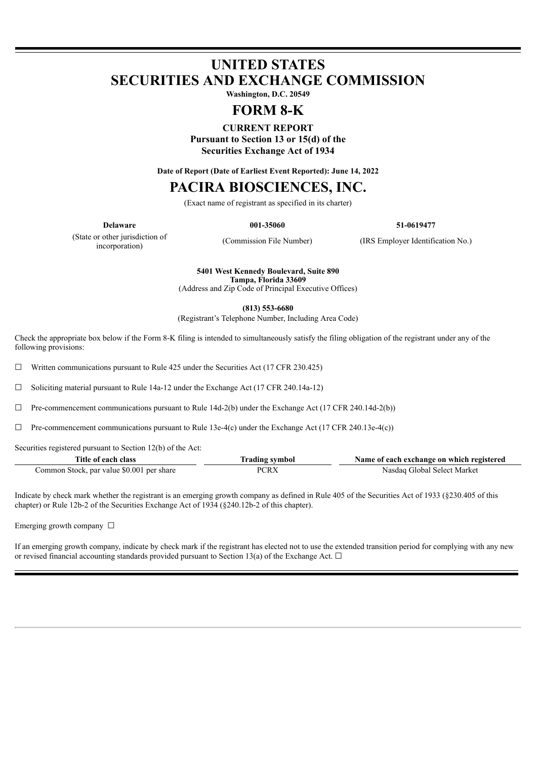# **UNITED STATES SECURITIES AND EXCHANGE COMMISSION**

**Washington, D.C. 20549**

# **FORM 8-K**

#### **CURRENT REPORT**

**Pursuant to Section 13 or 15(d) of the Securities Exchange Act of 1934**

**Date of Report (Date of Earliest Event Reported): June 14, 2022**

# **PACIRA BIOSCIENCES, INC.**

(Exact name of registrant as specified in its charter)

**Delaware 001-35060 51-0619477**

(State or other jurisdiction of incorporation)

(Commission File Number) (IRS Employer Identification No.)

**5401 West Kennedy Boulevard, Suite 890 Tampa, Florida 33609**

(Address and Zip Code of Principal Executive Offices)

**(813) 553-6680**

(Registrant's Telephone Number, Including Area Code)

Check the appropriate box below if the Form 8-K filing is intended to simultaneously satisfy the filing obligation of the registrant under any of the following provisions:

 $\Box$  Written communications pursuant to Rule 425 under the Securities Act (17 CFR 230.425)

 $\Box$  Soliciting material pursuant to Rule 14a-12 under the Exchange Act (17 CFR 240.14a-12)

 $\Box$  Pre-commencement communications pursuant to Rule 14d-2(b) under the Exchange Act (17 CFR 240.14d-2(b))

 $\Box$  Pre-commencement communications pursuant to Rule 13e-4(c) under the Exchange Act (17 CFR 240.13e-4(c))

Securities registered pursuant to Section 12(b) of the Act:

| Title of each class                       | rading symbol | Name of each exchange on which registered |
|-------------------------------------------|---------------|-------------------------------------------|
| Common Stock, par value \$0.001 per share | <b>PCRX</b>   | ⊦Global Select Market<br>Aasdaa           |

Indicate by check mark whether the registrant is an emerging growth company as defined in Rule 405 of the Securities Act of 1933 (§230.405 of this chapter) or Rule 12b-2 of the Securities Exchange Act of 1934 (§240.12b-2 of this chapter).

Emerging growth company □

If an emerging growth company, indicate by check mark if the registrant has elected not to use the extended transition period for complying with any new or revised financial accounting standards provided pursuant to Section 13(a) of the Exchange Act.  $\Box$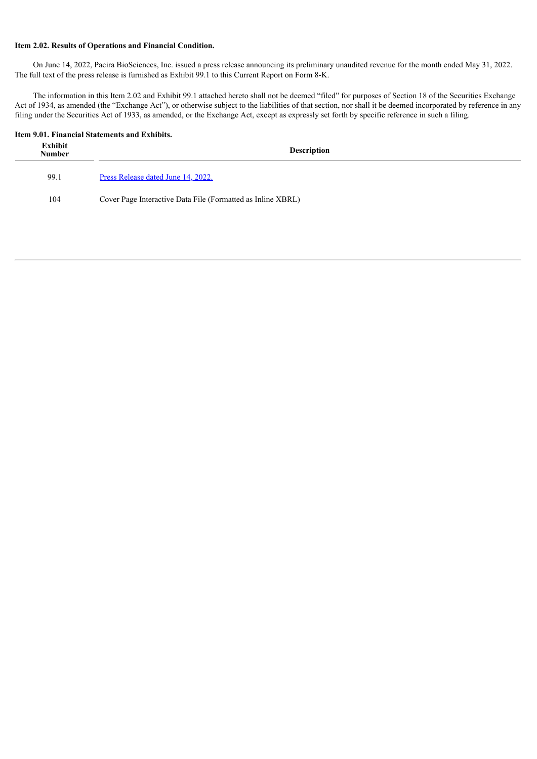#### **Item 2.02. Results of Operations and Financial Condition.**

On June 14, 2022, Pacira BioSciences, Inc. issued a press release announcing its preliminary unaudited revenue for the month ended May 31, 2022. The full text of the press release is furnished as Exhibit 99.1 to this Current Report on Form 8-K.

The information in this Item 2.02 and Exhibit 99.1 attached hereto shall not be deemed "filed" for purposes of Section 18 of the Securities Exchange Act of 1934, as amended (the "Exchange Act"), or otherwise subject to the liabilities of that section, nor shall it be deemed incorporated by reference in any filing under the Securities Act of 1933, as amended, or the Exchange Act, except as expressly set forth by specific reference in such a filing.

#### **Item 9.01. Financial Statements and Exhibits.**

| Exhibit<br><b>Number</b> | <b>Description</b>                                          |
|--------------------------|-------------------------------------------------------------|
| 99.1                     | Press Release dated June 14, 2022.                          |
| 104                      | Cover Page Interactive Data File (Formatted as Inline XBRL) |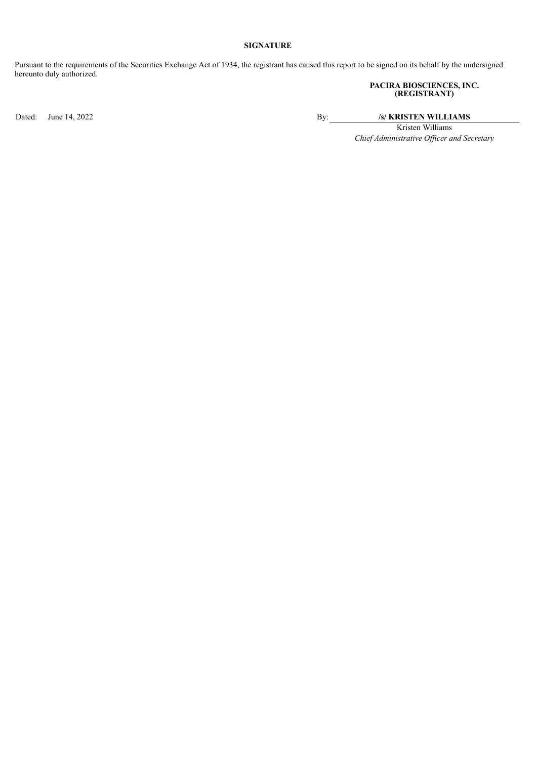#### **SIGNATURE**

Pursuant to the requirements of the Securities Exchange Act of 1934, the registrant has caused this report to be signed on its behalf by the undersigned hereunto duly authorized.

#### **PACIRA BIOSCIENCES, INC. (REGISTRANT)**

Dated: June 14, 2022 **By:** */s/* **KRISTEN WILLIAMS** 

Kristen Williams *Chief Administrative Of icer and Secretary*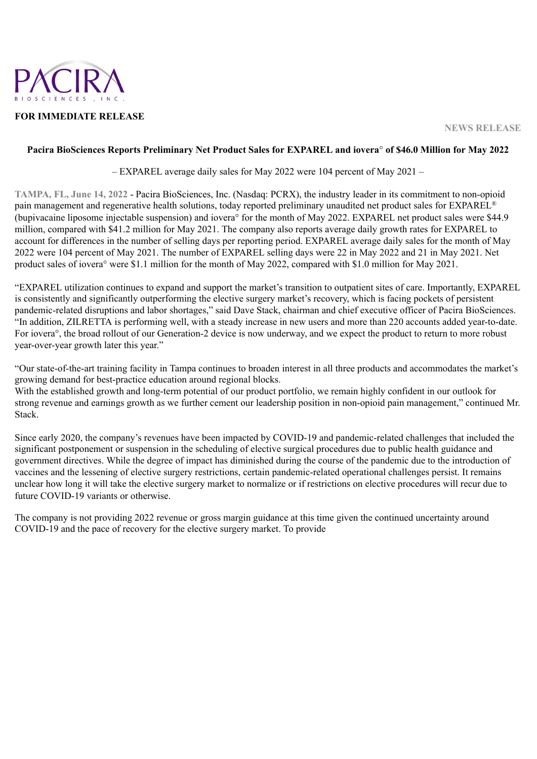<span id="page-3-0"></span>

## **FOR IMMEDIATE RELEASE**

**NEWS RELEASE**

### **Pacira BioSciences Reports Preliminary Net Product Sales for EXPAREL and iovera**° **of \$46.0 Million for May 2022**

– EXPAREL average daily sales for May 2022 were 104 percent of May 2021 –

**TAMPA, FL, June 14, 2022** - Pacira BioSciences, Inc. (Nasdaq: PCRX), the industry leader in its commitment to non-opioid pain management and regenerative health solutions, today reported preliminary unaudited net product sales for EXPAREL® (bupivacaine liposome injectable suspension) and iovera° for the month of May 2022. EXPAREL net product sales were \$44.9 million, compared with \$41.2 million for May 2021. The company also reports average daily growth rates for EXPAREL to account for differences in the number of selling days per reporting period. EXPAREL average daily sales for the month of May 2022 were 104 percent of May 2021. The number of EXPAREL selling days were 22 in May 2022 and 21 in May 2021. Net product sales of iovera° were \$1.1 million for the month of May 2022, compared with \$1.0 million for May 2021.

"EXPAREL utilization continues to expand and support the market's transition to outpatient sites of care. Importantly, EXPAREL is consistently and significantly outperforming the elective surgery market's recovery, which is facing pockets of persistent pandemic-related disruptions and labor shortages," said Dave Stack, chairman and chief executive officer of Pacira BioSciences. "In addition, ZILRETTA is performing well, with a steady increase in new users and more than 220 accounts added year-to-date. For iovera°, the broad rollout of our Generation-2 device is now underway, and we expect the product to return to more robust year-over-year growth later this year."

"Our state-of-the-art training facility in Tampa continues to broaden interest in all three products and accommodates the market's growing demand for best-practice education around regional blocks.

With the established growth and long-term potential of our product portfolio, we remain highly confident in our outlook for strong revenue and earnings growth as we further cement our leadership position in non-opioid pain management," continued Mr. Stack.

Since early 2020, the company's revenues have been impacted by COVID-19 and pandemic-related challenges that included the significant postponement or suspension in the scheduling of elective surgical procedures due to public health guidance and government directives. While the degree of impact has diminished during the course of the pandemic due to the introduction of vaccines and the lessening of elective surgery restrictions, certain pandemic-related operational challenges persist. It remains unclear how long it will take the elective surgery market to normalize or if restrictions on elective procedures will recur due to future COVID-19 variants or otherwise.

The company is not providing 2022 revenue or gross margin guidance at this time given the continued uncertainty around COVID-19 and the pace of recovery for the elective surgery market. To provide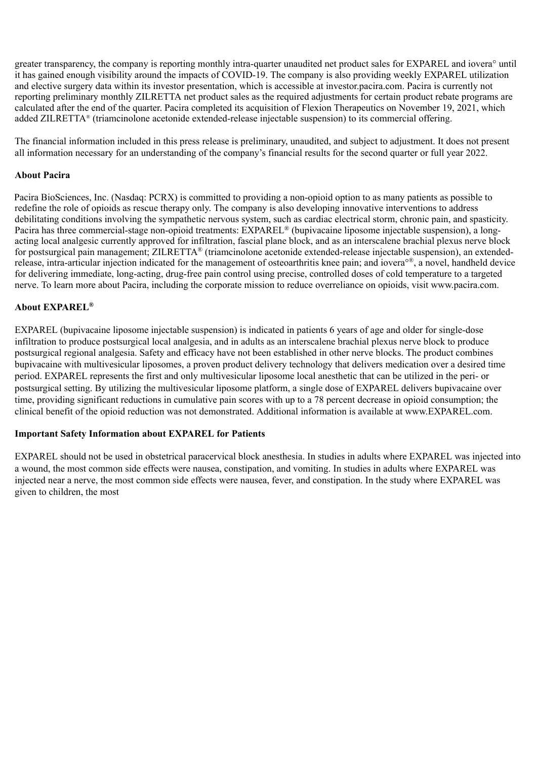greater transparency, the company is reporting monthly intra-quarter unaudited net product sales for EXPAREL and iovera° until it has gained enough visibility around the impacts of COVID-19. The company is also providing weekly EXPAREL utilization and elective surgery data within its investor presentation, which is accessible at investor.pacira.com. Pacira is currently not reporting preliminary monthly ZILRETTA net product sales as the required adjustments for certain product rebate programs are calculated after the end of the quarter. Pacira completed its acquisition of Flexion Therapeutics on November 19, 2021, which added ZILRETTA® (triamcinolone acetonide extended-release injectable suspension) to its commercial offering.

The financial information included in this press release is preliminary, unaudited, and subject to adjustment. It does not present all information necessary for an understanding of the company's financial results for the second quarter or full year 2022.

### **About Pacira**

Pacira BioSciences, Inc. (Nasdaq: PCRX) is committed to providing a non-opioid option to as many patients as possible to redefine the role of opioids as rescue therapy only. The company is also developing innovative interventions to address debilitating conditions involving the sympathetic nervous system, such as cardiac electrical storm, chronic pain, and spasticity. Pacira has three commercial-stage non-opioid treatments: EXPAREL® (bupivacaine liposome injectable suspension), a longacting local analgesic currently approved for infiltration, fascial plane block, and as an interscalene brachial plexus nerve block for postsurgical pain management; ZILRETTA® (triamcinolone acetonide extended-release injectable suspension), an extendedrelease, intra-articular injection indicated for the management of osteoarthritis knee pain; and iovera<sup>o®</sup>, a novel, handheld device for delivering immediate, long-acting, drug-free pain control using precise, controlled doses of cold temperature to a targeted nerve. To learn more about Pacira, including the corporate mission to reduce overreliance on opioids, visit www.pacira.com.

### **About EXPAREL ®**

EXPAREL (bupivacaine liposome injectable suspension) is indicated in patients 6 years of age and older for single-dose infiltration to produce postsurgical local analgesia, and in adults as an interscalene brachial plexus nerve block to produce postsurgical regional analgesia. Safety and efficacy have not been established in other nerve blocks. The product combines bupivacaine with multivesicular liposomes, a proven product delivery technology that delivers medication over a desired time period. EXPAREL represents the first and only multivesicular liposome local anesthetic that can be utilized in the peri- or postsurgical setting. By utilizing the multivesicular liposome platform, a single dose of EXPAREL delivers bupivacaine over time, providing significant reductions in cumulative pain scores with up to a 78 percent decrease in opioid consumption; the clinical benefit of the opioid reduction was not demonstrated. Additional information is available at www.EXPAREL.com.

### **Important Safety Information about EXPAREL for Patients**

EXPAREL should not be used in obstetrical paracervical block anesthesia. In studies in adults where EXPAREL was injected into a wound, the most common side effects were nausea, constipation, and vomiting. In studies in adults where EXPAREL was injected near a nerve, the most common side effects were nausea, fever, and constipation. In the study where EXPAREL was given to children, the most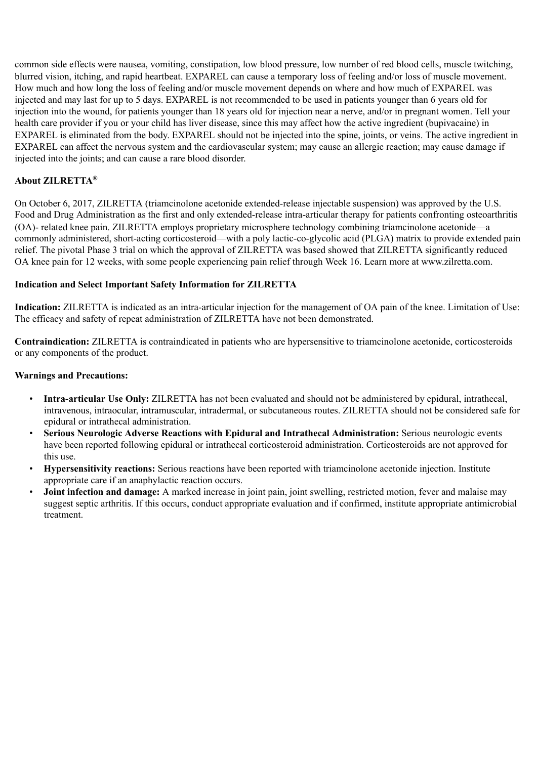common side effects were nausea, vomiting, constipation, low blood pressure, low number of red blood cells, muscle twitching, blurred vision, itching, and rapid heartbeat. EXPAREL can cause a temporary loss of feeling and/or loss of muscle movement. How much and how long the loss of feeling and/or muscle movement depends on where and how much of EXPAREL was injected and may last for up to 5 days. EXPAREL is not recommended to be used in patients younger than 6 years old for injection into the wound, for patients younger than 18 years old for injection near a nerve, and/or in pregnant women. Tell your health care provider if you or your child has liver disease, since this may affect how the active ingredient (bupivacaine) in EXPAREL is eliminated from the body. EXPAREL should not be injected into the spine, joints, or veins. The active ingredient in EXPAREL can affect the nervous system and the cardiovascular system; may cause an allergic reaction; may cause damage if injected into the joints; and can cause a rare blood disorder.

# **About ZILRETTA ®**

On October 6, 2017, ZILRETTA (triamcinolone acetonide extended-release injectable suspension) was approved by the U.S. Food and Drug Administration as the first and only extended-release intra-articular therapy for patients confronting osteoarthritis (OA)- related knee pain. ZILRETTA employs proprietary microsphere technology combining triamcinolone acetonide—a commonly administered, short-acting corticosteroid—with a poly lactic-co-glycolic acid (PLGA) matrix to provide extended pain relief. The pivotal Phase 3 trial on which the approval of ZILRETTA was based showed that ZILRETTA significantly reduced OA knee pain for 12 weeks, with some people experiencing pain relief through Week 16. Learn more at www.zilretta.com.

## **Indication and Select Important Safety Information for ZILRETTA**

**Indication:** ZILRETTA is indicated as an intra-articular injection for the management of OA pain of the knee. Limitation of Use: The efficacy and safety of repeat administration of ZILRETTA have not been demonstrated.

**Contraindication:** ZILRETTA is contraindicated in patients who are hypersensitive to triamcinolone acetonide, corticosteroids or any components of the product.

## **Warnings and Precautions:**

- **Intra-articular Use Only:** ZILRETTA has not been evaluated and should not be administered by epidural, intrathecal, intravenous, intraocular, intramuscular, intradermal, or subcutaneous routes. ZILRETTA should not be considered safe for epidural or intrathecal administration.
- **Serious Neurologic Adverse Reactions with Epidural and Intrathecal Administration:** Serious neurologic events have been reported following epidural or intrathecal corticosteroid administration. Corticosteroids are not approved for this use.
- **Hypersensitivity reactions:** Serious reactions have been reported with triamcinolone acetonide injection. Institute appropriate care if an anaphylactic reaction occurs.
- **Joint infection and damage:** A marked increase in joint pain, joint swelling, restricted motion, fever and malaise may suggest septic arthritis. If this occurs, conduct appropriate evaluation and if confirmed, institute appropriate antimicrobial treatment.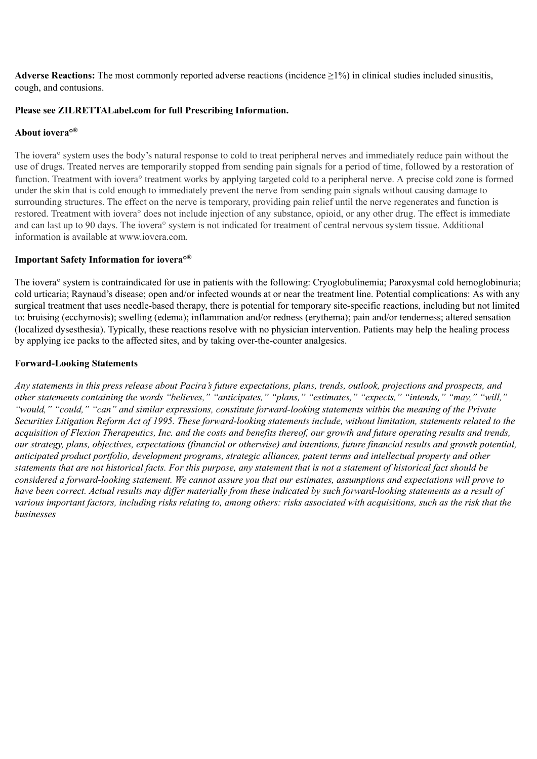**Adverse Reactions:** The most commonly reported adverse reactions (incidence ≥1%) in clinical studies included sinusitis, cough, and contusions.

# **Please see ZILRETTALabel.com for full Prescribing Information.**

# **About iovera° ®**

The iovera° system uses the body's natural response to cold to treat peripheral nerves and immediately reduce pain without the use of drugs. Treated nerves are temporarily stopped from sending pain signals for a period of time, followed by a restoration of function. Treatment with iovera° treatment works by applying targeted cold to a peripheral nerve. A precise cold zone is formed under the skin that is cold enough to immediately prevent the nerve from sending pain signals without causing damage to surrounding structures. The effect on the nerve is temporary, providing pain relief until the nerve regenerates and function is restored. Treatment with iovera° does not include injection of any substance, opioid, or any other drug. The effect is immediate and can last up to 90 days. The iovera° system is not indicated for treatment of central nervous system tissue. Additional information is available at www.iovera.com.

# **Important Safety Information for iovera° ®**

The iovera° system is contraindicated for use in patients with the following: Cryoglobulinemia; Paroxysmal cold hemoglobinuria; cold urticaria; Raynaud's disease; open and/or infected wounds at or near the treatment line. Potential complications: As with any surgical treatment that uses needle-based therapy, there is potential for temporary site-specific reactions, including but not limited to: bruising (ecchymosis); swelling (edema); inflammation and/or redness (erythema); pain and/or tenderness; altered sensation (localized dysesthesia). Typically, these reactions resolve with no physician intervention. Patients may help the healing process by applying ice packs to the affected sites, and by taking over-the-counter analgesics.

## **Forward-Looking Statements**

*Any statements in this press release about Pacira's future expectations, plans, trends, outlook, projections and prospects, and other statements containing the words "believes," "anticipates," "plans," "estimates," "expects," "intends," "may," "will," "would," "could," "can" and similar expressions, constitute forward-looking statements within the meaning of the Private Securities Litigation Reform Act of 1995. These forward-looking statements include, without limitation, statements related to the acquisition of Flexion Therapeutics, Inc. and the costs and benefits thereof, our growth and future operating results and trends, our strategy, plans, objectives, expectations (financial or otherwise) and intentions, future financial results and growth potential, anticipated product portfolio, development programs, strategic alliances, patent terms and intellectual property and other statements that are not historical facts. For this purpose, any statement that is not a statement of historical fact should be considered a forward-looking statement. We cannot assure you that our estimates, assumptions and expectations will prove to have been correct. Actual results may differ materially from these indicated by such forward-looking statements as a result of various important factors, including risks relating to, among others: risks associated with acquisitions, such as the risk that the businesses*